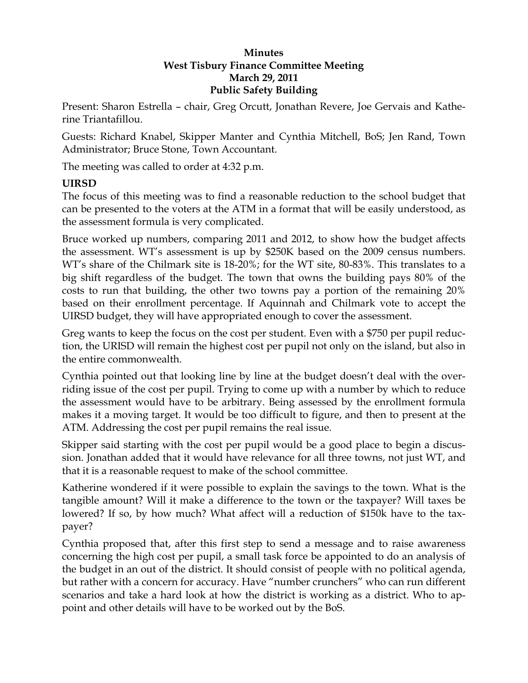### **Minutes West Tisbury Finance Committee Meeting March 29, 2011 Public Safety Building**

Present: Sharon Estrella – chair, Greg Orcutt, Jonathan Revere, Joe Gervais and Katherine Triantafillou.

Guests: Richard Knabel, Skipper Manter and Cynthia Mitchell, BoS; Jen Rand, Town Administrator; Bruce Stone, Town Accountant.

The meeting was called to order at 4:32 p.m.

### **UIRSD**

The focus of this meeting was to find a reasonable reduction to the school budget that can be presented to the voters at the ATM in a format that will be easily understood, as the assessment formula is very complicated.

Bruce worked up numbers, comparing 2011 and 2012, to show how the budget affects the assessment. WT's assessment is up by \$250K based on the 2009 census numbers. WT's share of the Chilmark site is 18-20%; for the WT site, 80-83%. This translates to a big shift regardless of the budget. The town that owns the building pays 80% of the costs to run that building, the other two towns pay a portion of the remaining 20% based on their enrollment percentage. If Aquinnah and Chilmark vote to accept the UIRSD budget, they will have appropriated enough to cover the assessment.

Greg wants to keep the focus on the cost per student. Even with a \$750 per pupil reduction, the URISD will remain the highest cost per pupil not only on the island, but also in the entire commonwealth.

Cynthia pointed out that looking line by line at the budget doesn't deal with the overriding issue of the cost per pupil. Trying to come up with a number by which to reduce the assessment would have to be arbitrary. Being assessed by the enrollment formula makes it a moving target. It would be too difficult to figure, and then to present at the ATM. Addressing the cost per pupil remains the real issue.

Skipper said starting with the cost per pupil would be a good place to begin a discussion. Jonathan added that it would have relevance for all three towns, not just WT, and that it is a reasonable request to make of the school committee.

Katherine wondered if it were possible to explain the savings to the town. What is the tangible amount? Will it make a difference to the town or the taxpayer? Will taxes be lowered? If so, by how much? What affect will a reduction of \$150k have to the taxpayer?

Cynthia proposed that, after this first step to send a message and to raise awareness concerning the high cost per pupil, a small task force be appointed to do an analysis of the budget in an out of the district. It should consist of people with no political agenda, but rather with a concern for accuracy. Have "number crunchers" who can run different scenarios and take a hard look at how the district is working as a district. Who to appoint and other details will have to be worked out by the BoS.